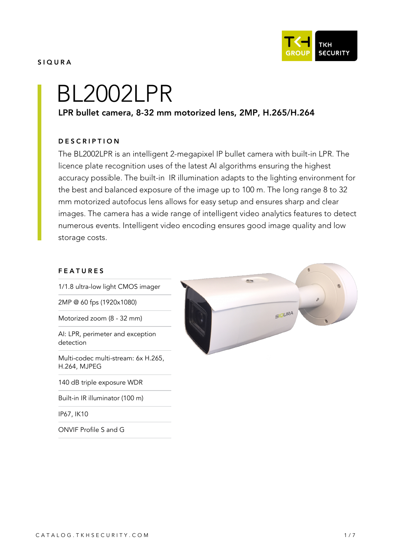

#### SIQURA

# BL2002LPR

# LPR bullet camera, 8-32 mm motorized lens, 2MP, H.265/H.264

#### **DESCRIPTION**

The BL2002LPR is an intelligent 2-megapixel IP bullet camera with built-in LPR. The licence plate recognition uses of the latest AI algorithms ensuring the highest accuracy possible. The built-in IR illumination adapts to the lighting environment for the best and balanced exposure of the image up to 100 m. The long range 8 to 32 mm motorized autofocus lens allows for easy setup and ensures sharp and clear images. The camera has a wide range of intelligent video analytics features to detect numerous events. Intelligent video encoding ensures good image quality and low storage costs.

#### FEATURES

1/1.8 ultra-low light CMOS imager

2MP @ 60 fps (1920x1080)

Motorized zoom (8 - 32 mm)

AI: LPR, perimeter and exception detection

Multi-codec multi-stream: 6x H.265, H.264, MJPEG

140 dB triple exposure WDR

Built-in IR illuminator (100 m)

IP67, IK10

ONVIF Profile S and G

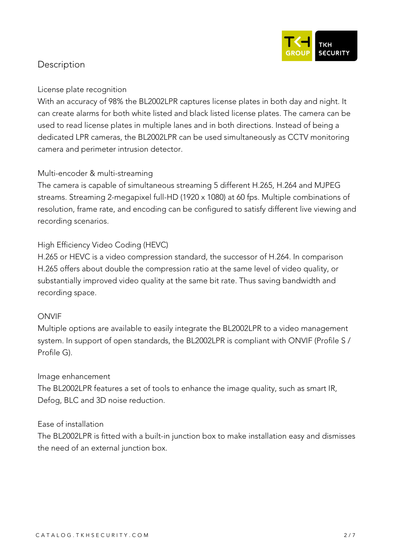

# **Description**

## **License plate recognition**

With an accuracy of 98% the BL2002LPR captures license plates in both day and night. It can create alarms for both white listed and black listed license plates. The camera can be used to read license plates in multiple lanes and in both directions. Instead of being a dedicated LPR cameras, the BL2002LPR can be used simultaneously as CCTV monitoring camera and perimeter intrusion detector.

## **Multi-encoder & multi-streaming**

The camera is capable of simultaneous streaming 5 different H.265, H.264 and MJPEG streams. Streaming 2-megapixel full-HD (1920 x 1080) at 60 fps. Multiple combinations of resolution, frame rate, and encoding can be configured to satisfy different live viewing and recording scenarios.

# **High Efficiency Video Coding (HEVC)**

H.265 or HEVC is a video compression standard, the successor of H.264. In comparison H.265 offers about double the compression ratio at the same level of video quality, or substantially improved video quality at the same bit rate. Thus saving bandwidth and recording space.

#### **ONVIF**

Multiple options are available to easily integrate the BL2002LPR to a video management system. In support of open standards, the BL2002LPR is compliant with ONVIF (Profile S / Profile G).

#### **Image enhancement**

The BL2002LPR features a set of tools to enhance the image quality, such as smart IR, Defog, BLC and 3D noise reduction.

## **Ease of installation**

The BL2002LPR is fitted with a built-in junction box to make installation easy and dismisses the need of an external junction box.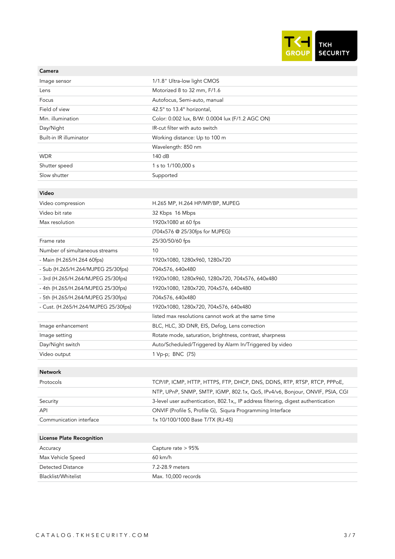

#### Camera

| Image sensor                         | 1/1.8" Ultra-low light CMOS                                                       |
|--------------------------------------|-----------------------------------------------------------------------------------|
| Lens                                 | Motorized 8 to 32 mm, F/1.6                                                       |
| Focus                                | Autofocus, Semi-auto, manual                                                      |
| Field of view                        | 42.5° to 13.4° horizontal,                                                        |
| Min. illumination                    | Color: 0.002 lux, B/W: 0.0004 lux (F/1.2 AGC ON)                                  |
| Day/Night                            | IR-cut filter with auto switch                                                    |
| Built-in IR illuminator              | Working distance: Up to 100 m                                                     |
|                                      | Wavelength: 850 nm                                                                |
| <b>WDR</b>                           | 140 dB                                                                            |
| Shutter speed                        | 1 s to 1/100,000 s                                                                |
| Slow shutter                         | Supported                                                                         |
|                                      |                                                                                   |
| Video                                |                                                                                   |
| Video compression                    | H.265 MP, H.264 HP/MP/BP, MJPEG                                                   |
| Video bit rate                       | 32 Kbps 16 Mbps                                                                   |
| Max resolution                       | 1920x1080 at 60 fps                                                               |
|                                      | (704x576 @ 25/30fps for MJPEG)                                                    |
| Frame rate                           | 25/30/50/60 fps                                                                   |
| Number of simultaneous streams       | 10                                                                                |
| - Main (H.265/H.264 60fps)           | 1920x1080, 1280x960, 1280x720                                                     |
| - Sub (H.265/H.264/MJPEG 25/30fps)   | 704x576, 640x480                                                                  |
| - 3rd (H.265/H.264/MJPEG 25/30fps)   | 1920x1080, 1280x960, 1280x720, 704x576, 640x480                                   |
| - 4th (H.265/H.264/MJPEG 25/30fps)   | 1920x1080, 1280x720, 704x576, 640x480                                             |
| - 5th (H.265/H.264/MJPEG 25/30fps)   | 704x576, 640x480                                                                  |
| - Cust. (H.265/H.264/MJPEG 25/30fps) | 1920x1080, 1280x720, 704x576, 640x480                                             |
|                                      | listed max resolutions cannot work at the same time                               |
| Image enhancement                    | BLC, HLC, 3D DNR, EIS, Defog, Lens correction                                     |
| Image setting                        | Rotate mode, saturation, brightness, contrast, sharpness                          |
| Day/Night switch                     | Auto/Scheduled/Triggered by Alarm In/Triggered by video                           |
| Video output                         | 1 Vp-p; BNC (75)                                                                  |
|                                      |                                                                                   |
| Network                              |                                                                                   |
| Protocols                            | TCP/IP, ICMP, HTTP, HTTPS, FTP, DHCP, DNS, DDNS, RTP, RTSP, RTCP, PPPoE,          |
|                                      | NTP, UPnP, SNMP, SMTP, IGMP, 802.1x, QoS, IPv4/v6, Bonjour, ONVIF, PSIA, CGI      |
| Security                             | 3-level user authentication, 802.1x,, IP address filtering, digest authentication |
| API                                  | ONVIF (Profile S, Profile G), Siqura Programming Interface                        |
| Communication interface              | 1x 10/100/1000 Base T/TX (RJ-45)                                                  |
|                                      |                                                                                   |
| <b>License Plate Recognition</b>     |                                                                                   |
| Accuracy                             | Capture rate > 95%                                                                |

| , , , , , , , , , , | $500$ $\sim$ $100$ $\sim$ $100$ $\sim$ $100$ |
|---------------------|----------------------------------------------|
| Max Vehicle Speed   | $60 \text{ km/h}$                            |
| Detected Distance   | 7.2-28.9 meters                              |
| Blacklist/Whitelist | Max. 10,000 records                          |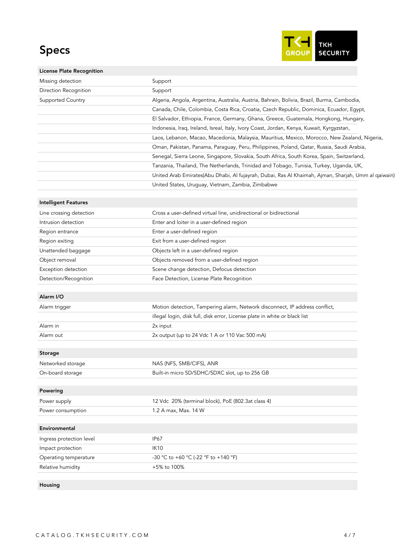# Specs



| <b>License Plate Recognition</b> |                                                                                                     |
|----------------------------------|-----------------------------------------------------------------------------------------------------|
| Missing detection                | Support                                                                                             |
| Direction Recognition            | Support                                                                                             |
| Supported Country                | Algeria, Angola, Argentina, Australia, Austria, Bahrain, Bolivia, Brazil, Burma, Cambodia,          |
|                                  | Canada, Chile, Colombia, Costa Rica, Croatia, Czech Republic, Dominica, Ecuador, Egypt,             |
|                                  | El Salvador, Ethiopia, France, Germany, Ghana, Greece, Guatemala, Hongkong, Hungary,                |
|                                  | Indonesia, Iraq, Ireland, Isreal, Italy, Ivory Coast, Jordan, Kenya, Kuwait, Kyrgyzstan,            |
|                                  | Laos, Lebanon, Macao, Macedonia, Malaysia, Mauritius, Mexico, Morocco, New Zealand, Nigeria,        |
|                                  | Oman, Pakistan, Panama, Paraguay, Peru, Philippines, Poland, Qatar, Russia, Saudi Arabia,           |
|                                  | Senegal, Sierra Leone, Singapore, Slovakia, South Africa, South Korea, Spain, Switzerland,          |
|                                  | Tanzania, Thailand, The Netherlands, Trinidad and Tobago, Tunisia, Turkey, Uganda, UK,              |
|                                  | United Arab Emirates(Abu Dhabi, Al fujayrah, Dubai, Ras Al Khaimah, Ajman, Sharjah, Umm al qaiwain) |
|                                  | United States, Uruguay, Vietnam, Zambia, Zimbabwe                                                   |
| <b>Intelligent Features</b>      |                                                                                                     |
| Line crossing detection          | Cross a user-defined virtual line, unidirectional or bidirectional                                  |
| Intrusion detection              | Enter and loiter in a user-defined region                                                           |
| Region entrance                  | Enter a user-defined region                                                                         |
| Region exiting                   | Exit from a user-defined region                                                                     |
| Unattended baggage               | Objects left in a user-defined region                                                               |
| Object removal                   | Objects removed from a user-defined region                                                          |
| Exception detection              | Scene change detection, Defocus detection                                                           |
| Detection/Recognition            | Face Detection, License Plate Recognition                                                           |
| Alarm I/O                        |                                                                                                     |
| Alarm trigger                    | Motion detection, Tampering alarm, Network disconnect, IP address conflict,                         |
|                                  | illegal login, disk full, disk error, License plate in white or black list                          |
| Alarm in                         | 2x input                                                                                            |
| Alarm out                        | 2x output (up to 24 Vdc 1 A or 110 Vac 500 mA)                                                      |
|                                  |                                                                                                     |
| <b>Storage</b>                   |                                                                                                     |
| Networked storage                | NAS (NFS, SMB/CIFS), ANR                                                                            |
| On-board storage                 | Built-in micro SD/SDHC/SDXC slot, up to 256 GB                                                      |
| Powering                         |                                                                                                     |
| Power supply                     | 12 Vdc 20% (terminal block), PoE (802.3at class 4)                                                  |
| Power consumption                | 1.2 A max, Max. 14 W                                                                                |
|                                  |                                                                                                     |
| Environmental                    |                                                                                                     |
| Ingress protection level         | IP67                                                                                                |
| Impact protection                | <b>IK10</b>                                                                                         |
| Operating temperature            | -30 °C to +60 °C (-22 °F to +140 °F)                                                                |
| Relative humidity                | +5% to 100%                                                                                         |

Housing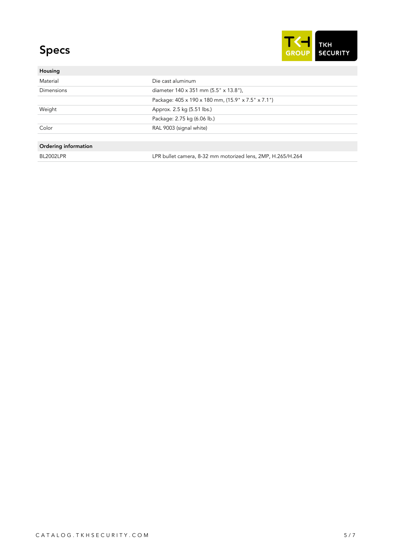# Specs



| Housing              |                                                             |
|----------------------|-------------------------------------------------------------|
| Material             | Die cast aluminum                                           |
| <b>Dimensions</b>    | diameter 140 x 351 mm (5.5" x 13.8"),                       |
|                      | Package: 405 x 190 x 180 mm, (15.9" x 7.5" x 7.1")          |
| Weight               | Approx. 2.5 kg (5.51 lbs.)                                  |
|                      | Package: 2.75 kg (6.06 lb.)                                 |
| Color                | RAL 9003 (signal white)                                     |
|                      |                                                             |
| Ordering information |                                                             |
| <b>BL2002LPR</b>     | LPR bullet camera, 8-32 mm motorized lens, 2MP, H.265/H.264 |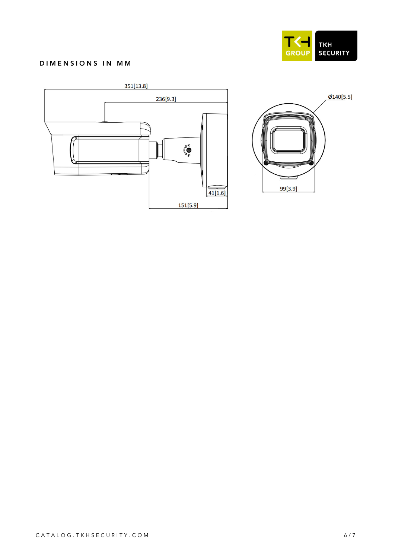

 $Ø140[5.5]$ 

#### DIMENSIONS IN MM